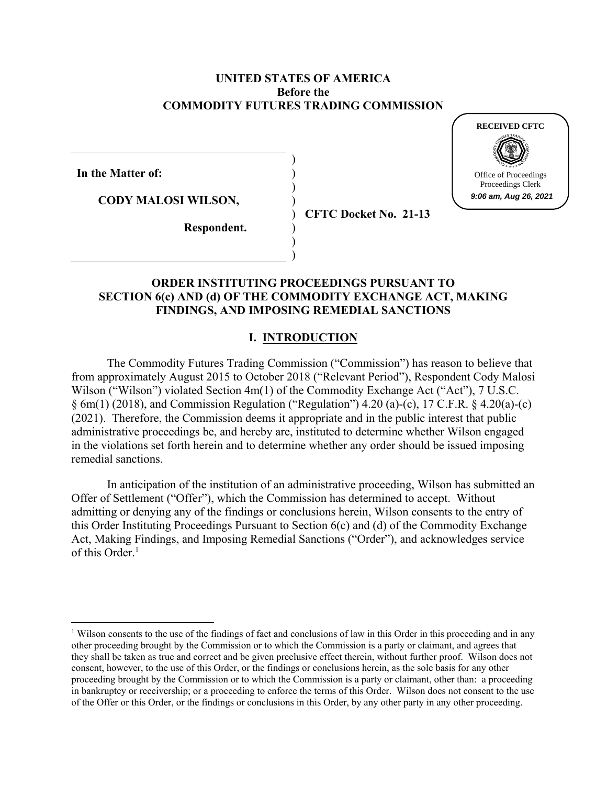#### **UNITED STATES OF AMERICA Before the COMMODITY FUTURES TRADING COMMISSION**

) ) ) ) ) ) ) )

**In the Matter of:** 

**CODY MALOSI WILSON,** 

**CFTC Docket No. 21-13**

**RECEIVED CFTC**

Office of Proceedings Proceedings Clerk **9:06 am, Aug 26, 2021**

**Respondent.**

### **ORDER INSTITUTING PROCEEDINGS PURSUANT TO SECTION 6(c) AND (d) OF THE COMMODITY EXCHANGE ACT, MAKING FINDINGS, AND IMPOSING REMEDIAL SANCTIONS**

# **I. INTRODUCTION**

The Commodity Futures Trading Commission ("Commission") has reason to believe that from approximately August 2015 to October 2018 ("Relevant Period"), Respondent Cody Malosi Wilson ("Wilson") violated Section 4m(1) of the Commodity Exchange Act ("Act"), 7 U.S.C.  $\S$  6m(1) (2018), and Commission Regulation ("Regulation") 4.20 (a)-(c), 17 C.F.R.  $\S$  4.20(a)-(c) (2021). Therefore, the Commission deems it appropriate and in the public interest that public administrative proceedings be, and hereby are, instituted to determine whether Wilson engaged in the violations set forth herein and to determine whether any order should be issued imposing remedial sanctions.

In anticipation of the institution of an administrative proceeding, Wilson has submitted an Offer of Settlement ("Offer"), which the Commission has determined to accept. Without admitting or denying any of the findings or conclusions herein, Wilson consents to the entry of this Order Instituting Proceedings Pursuant to Section 6(c) and (d) of the Commodity Exchange Act, Making Findings, and Imposing Remedial Sanctions ("Order"), and acknowledges service of this Order.<sup>1</sup>

<sup>&</sup>lt;sup>1</sup> Wilson consents to the use of the findings of fact and conclusions of law in this Order in this proceeding and in any other proceeding brought by the Commission or to which the Commission is a party or claimant, and agrees that they shall be taken as true and correct and be given preclusive effect therein, without further proof. Wilson does not consent, however, to the use of this Order, or the findings or conclusions herein, as the sole basis for any other proceeding brought by the Commission or to which the Commission is a party or claimant, other than: a proceeding in bankruptcy or receivership; or a proceeding to enforce the terms of this Order. Wilson does not consent to the use of the Offer or this Order, or the findings or conclusions in this Order, by any other party in any other proceeding.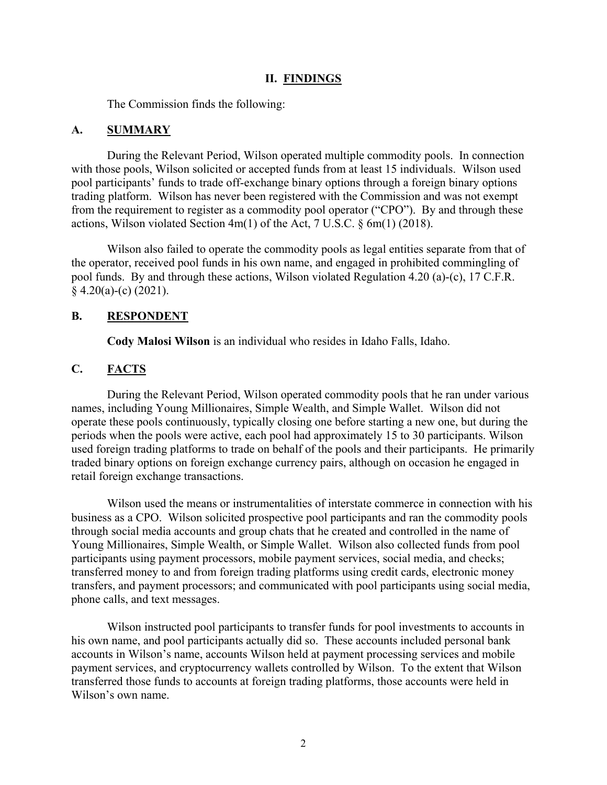#### **II. FINDINGS**

The Commission finds the following:

#### **A. SUMMARY**

During the Relevant Period, Wilson operated multiple commodity pools. In connection with those pools, Wilson solicited or accepted funds from at least 15 individuals. Wilson used pool participants' funds to trade off-exchange binary options through a foreign binary options trading platform. Wilson has never been registered with the Commission and was not exempt from the requirement to register as a commodity pool operator ("CPO"). By and through these actions, Wilson violated Section 4m(1) of the Act, 7 U.S.C. § 6m(1) (2018).

Wilson also failed to operate the commodity pools as legal entities separate from that of the operator, received pool funds in his own name, and engaged in prohibited commingling of pool funds. By and through these actions, Wilson violated Regulation 4.20 (a)-(c), 17 C.F.R.  $§$  4.20(a)-(c) (2021).

#### **B. RESPONDENT**

**Cody Malosi Wilson** is an individual who resides in Idaho Falls, Idaho.

### **C. FACTS**

During the Relevant Period, Wilson operated commodity pools that he ran under various names, including Young Millionaires, Simple Wealth, and Simple Wallet. Wilson did not operate these pools continuously, typically closing one before starting a new one, but during the periods when the pools were active, each pool had approximately 15 to 30 participants. Wilson used foreign trading platforms to trade on behalf of the pools and their participants. He primarily traded binary options on foreign exchange currency pairs, although on occasion he engaged in retail foreign exchange transactions.

Wilson used the means or instrumentalities of interstate commerce in connection with his business as a CPO. Wilson solicited prospective pool participants and ran the commodity pools through social media accounts and group chats that he created and controlled in the name of Young Millionaires, Simple Wealth, or Simple Wallet. Wilson also collected funds from pool participants using payment processors, mobile payment services, social media, and checks; transferred money to and from foreign trading platforms using credit cards, electronic money transfers, and payment processors; and communicated with pool participants using social media, phone calls, and text messages.

Wilson instructed pool participants to transfer funds for pool investments to accounts in his own name, and pool participants actually did so. These accounts included personal bank accounts in Wilson's name, accounts Wilson held at payment processing services and mobile payment services, and cryptocurrency wallets controlled by Wilson. To the extent that Wilson transferred those funds to accounts at foreign trading platforms, those accounts were held in Wilson's own name.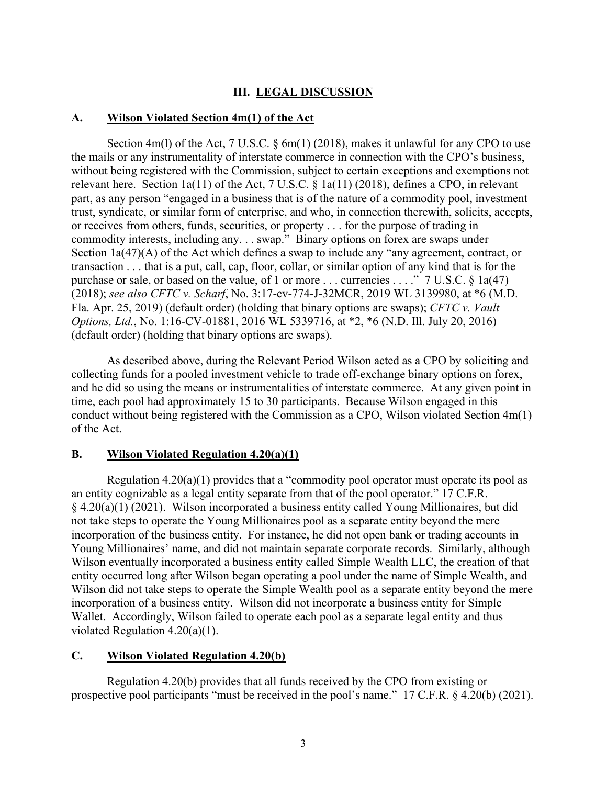## **III. LEGAL DISCUSSION**

## **A. Wilson Violated Section 4m(1) of the Act**

Section 4m(1) of the Act, 7 U.S.C.  $\S 6m(1)$  (2018), makes it unlawful for any CPO to use the mails or any instrumentality of interstate commerce in connection with the CPO's business, without being registered with the Commission, subject to certain exceptions and exemptions not relevant here. Section 1a(11) of the Act, 7 U.S.C. § 1a(11) (2018), defines a CPO, in relevant part, as any person "engaged in a business that is of the nature of a commodity pool, investment trust, syndicate, or similar form of enterprise, and who, in connection therewith, solicits, accepts, or receives from others, funds, securities, or property . . . for the purpose of trading in commodity interests, including any. . . swap." Binary options on forex are swaps under Section 1a(47)(A) of the Act which defines a swap to include any "any agreement, contract, or transaction . . . that is a put, call, cap, floor, collar, or similar option of any kind that is for the purchase or sale, or based on the value, of 1 or more . . . currencies . . . ." 7 U.S.C. § 1a(47) (2018); *see also CFTC v. Scharf*, No. 3:17-cv-774-J-32MCR, 2019 WL 3139980, at \*6 (M.D. Fla. Apr. 25, 2019) (default order) (holding that binary options are swaps); *CFTC v. Vault Options, Ltd.*, No. 1:16-CV-01881, 2016 WL 5339716, at \*2, \*6 (N.D. Ill. July 20, 2016) (default order) (holding that binary options are swaps).

As described above, during the Relevant Period Wilson acted as a CPO by soliciting and collecting funds for a pooled investment vehicle to trade off-exchange binary options on forex, and he did so using the means or instrumentalities of interstate commerce. At any given point in time, each pool had approximately 15 to 30 participants. Because Wilson engaged in this conduct without being registered with the Commission as a CPO, Wilson violated Section 4m(1) of the Act.

## **B. Wilson Violated Regulation 4.20(a)(1)**

Regulation  $4.20(a)(1)$  provides that a "commodity pool operator must operate its pool as an entity cognizable as a legal entity separate from that of the pool operator." 17 C.F.R. § 4.20(a)(1) (2021). Wilson incorporated a business entity called Young Millionaires, but did not take steps to operate the Young Millionaires pool as a separate entity beyond the mere incorporation of the business entity. For instance, he did not open bank or trading accounts in Young Millionaires' name, and did not maintain separate corporate records. Similarly, although Wilson eventually incorporated a business entity called Simple Wealth LLC, the creation of that entity occurred long after Wilson began operating a pool under the name of Simple Wealth, and Wilson did not take steps to operate the Simple Wealth pool as a separate entity beyond the mere incorporation of a business entity. Wilson did not incorporate a business entity for Simple Wallet. Accordingly, Wilson failed to operate each pool as a separate legal entity and thus violated Regulation 4.20(a)(1).

#### **C. Wilson Violated Regulation 4.20(b)**

Regulation 4.20(b) provides that all funds received by the CPO from existing or prospective pool participants "must be received in the pool's name." 17 C.F.R. § 4.20(b) (2021).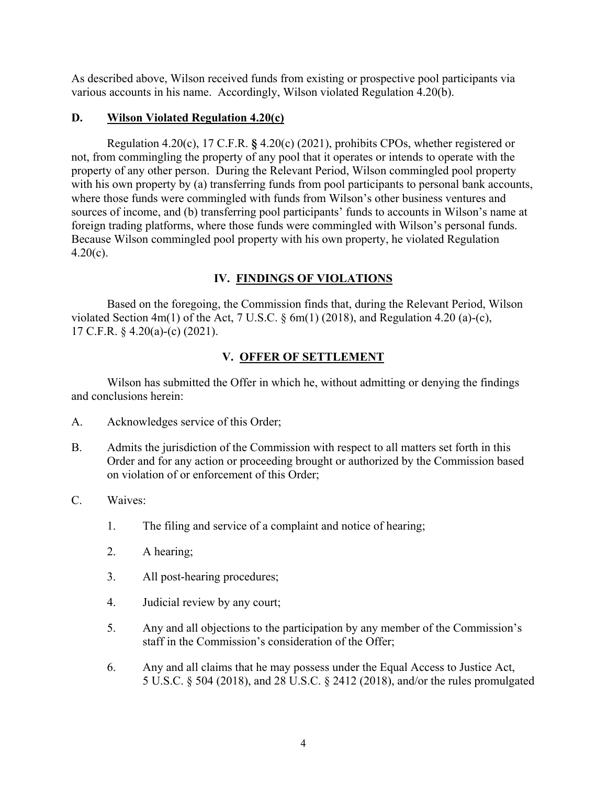As described above, Wilson received funds from existing or prospective pool participants via various accounts in his name. Accordingly, Wilson violated Regulation 4.20(b).

### **D. Wilson Violated Regulation 4.20(c)**

Regulation 4.20(c), 17 C.F.R. **§** 4.20(c) (2021), prohibits CPOs, whether registered or not, from commingling the property of any pool that it operates or intends to operate with the property of any other person. During the Relevant Period, Wilson commingled pool property with his own property by (a) transferring funds from pool participants to personal bank accounts, where those funds were commingled with funds from Wilson's other business ventures and sources of income, and (b) transferring pool participants' funds to accounts in Wilson's name at foreign trading platforms, where those funds were commingled with Wilson's personal funds. Because Wilson commingled pool property with his own property, he violated Regulation  $4.20(c)$ .

## **IV. FINDINGS OF VIOLATIONS**

Based on the foregoing, the Commission finds that, during the Relevant Period, Wilson violated Section 4m(1) of the Act, 7 U.S.C.  $\S$  6m(1) (2018), and Regulation 4.20 (a)-(c), 17 C.F.R. § 4.20(a)-(c) (2021).

# **V. OFFER OF SETTLEMENT**

Wilson has submitted the Offer in which he, without admitting or denying the findings and conclusions herein:

- A. Acknowledges service of this Order;
- B. Admits the jurisdiction of the Commission with respect to all matters set forth in this Order and for any action or proceeding brought or authorized by the Commission based on violation of or enforcement of this Order;
- C. Waives:
	- 1. The filing and service of a complaint and notice of hearing;
	- 2. A hearing;
	- 3. All post-hearing procedures;
	- 4. Judicial review by any court;
	- 5. Any and all objections to the participation by any member of the Commission's staff in the Commission's consideration of the Offer;
	- 6. Any and all claims that he may possess under the Equal Access to Justice Act, 5 U.S.C. § 504 (2018), and 28 U.S.C. § 2412 (2018), and/or the rules promulgated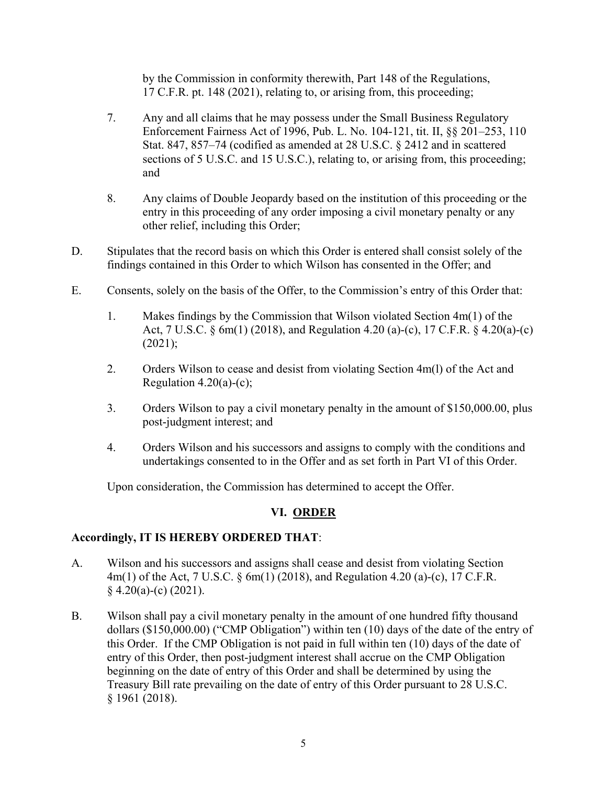by the Commission in conformity therewith, Part 148 of the Regulations, 17 C.F.R. pt. 148 (2021), relating to, or arising from, this proceeding;

- 7. Any and all claims that he may possess under the Small Business Regulatory Enforcement Fairness Act of 1996, Pub. L. No. 104-121, tit. II, §§ 201–253, 110 Stat. 847, 857–74 (codified as amended at 28 U.S.C. § 2412 and in scattered sections of 5 U.S.C. and 15 U.S.C.), relating to, or arising from, this proceeding; and
- 8. Any claims of Double Jeopardy based on the institution of this proceeding or the entry in this proceeding of any order imposing a civil monetary penalty or any other relief, including this Order;
- D. Stipulates that the record basis on which this Order is entered shall consist solely of the findings contained in this Order to which Wilson has consented in the Offer; and
- E. Consents, solely on the basis of the Offer, to the Commission's entry of this Order that:
	- 1. Makes findings by the Commission that Wilson violated Section 4m(1) of the Act, 7 U.S.C. § 6m(1) (2018), and Regulation 4.20 (a)-(c), 17 C.F.R. § 4.20(a)-(c) (2021);
	- 2. Orders Wilson to cease and desist from violating Section 4m(l) of the Act and Regulation  $4.20(a)-(c)$ ;
	- 3. Orders Wilson to pay a civil monetary penalty in the amount of \$150,000.00, plus post-judgment interest; and
	- 4. Orders Wilson and his successors and assigns to comply with the conditions and undertakings consented to in the Offer and as set forth in Part VI of this Order.

Upon consideration, the Commission has determined to accept the Offer.

# **VI. ORDER**

### **Accordingly, IT IS HEREBY ORDERED THAT**:

- A. Wilson and his successors and assigns shall cease and desist from violating Section 4m(1) of the Act, 7 U.S.C. § 6m(1) (2018), and Regulation 4.20 (a)-(c), 17 C.F.R.  $§$  4.20(a)-(c) (2021).
- B. Wilson shall pay a civil monetary penalty in the amount of one hundred fifty thousand dollars (\$150,000.00) ("CMP Obligation") within ten (10) days of the date of the entry of this Order. If the CMP Obligation is not paid in full within ten (10) days of the date of entry of this Order, then post-judgment interest shall accrue on the CMP Obligation beginning on the date of entry of this Order and shall be determined by using the Treasury Bill rate prevailing on the date of entry of this Order pursuant to 28 U.S.C. § 1961 (2018).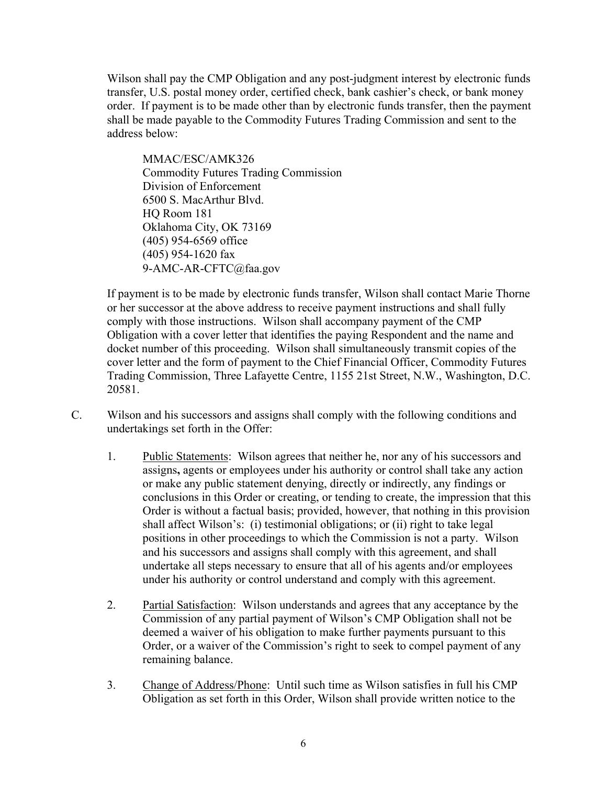Wilson shall pay the CMP Obligation and any post-judgment interest by electronic funds transfer, U.S. postal money order, certified check, bank cashier's check, or bank money order. If payment is to be made other than by electronic funds transfer, then the payment shall be made payable to the Commodity Futures Trading Commission and sent to the address below:

MMAC/ESC/AMK326 Commodity Futures Trading Commission Division of Enforcement 6500 S. MacArthur Blvd. HQ Room 181 Oklahoma City, OK 73169 (405) 954-6569 office (405) 954-1620 fax 9-AMC-AR-CFTC@faa.gov

If payment is to be made by electronic funds transfer, Wilson shall contact Marie Thorne or her successor at the above address to receive payment instructions and shall fully comply with those instructions. Wilson shall accompany payment of the CMP Obligation with a cover letter that identifies the paying Respondent and the name and docket number of this proceeding. Wilson shall simultaneously transmit copies of the cover letter and the form of payment to the Chief Financial Officer, Commodity Futures Trading Commission, Three Lafayette Centre, 1155 21st Street, N.W., Washington, D.C. 20581.

- C. Wilson and his successors and assigns shall comply with the following conditions and undertakings set forth in the Offer:
	- 1. Public Statements: Wilson agrees that neither he, nor any of his successors and assigns**,** agents or employees under his authority or control shall take any action or make any public statement denying, directly or indirectly, any findings or conclusions in this Order or creating, or tending to create, the impression that this Order is without a factual basis; provided, however, that nothing in this provision shall affect Wilson's: (i) testimonial obligations; or (ii) right to take legal positions in other proceedings to which the Commission is not a party. Wilson and his successors and assigns shall comply with this agreement, and shall undertake all steps necessary to ensure that all of his agents and/or employees under his authority or control understand and comply with this agreement.
	- 2. Partial Satisfaction: Wilson understands and agrees that any acceptance by the Commission of any partial payment of Wilson's CMP Obligation shall not be deemed a waiver of his obligation to make further payments pursuant to this Order, or a waiver of the Commission's right to seek to compel payment of any remaining balance.
	- 3. Change of Address/Phone: Until such time as Wilson satisfies in full his CMP Obligation as set forth in this Order, Wilson shall provide written notice to the